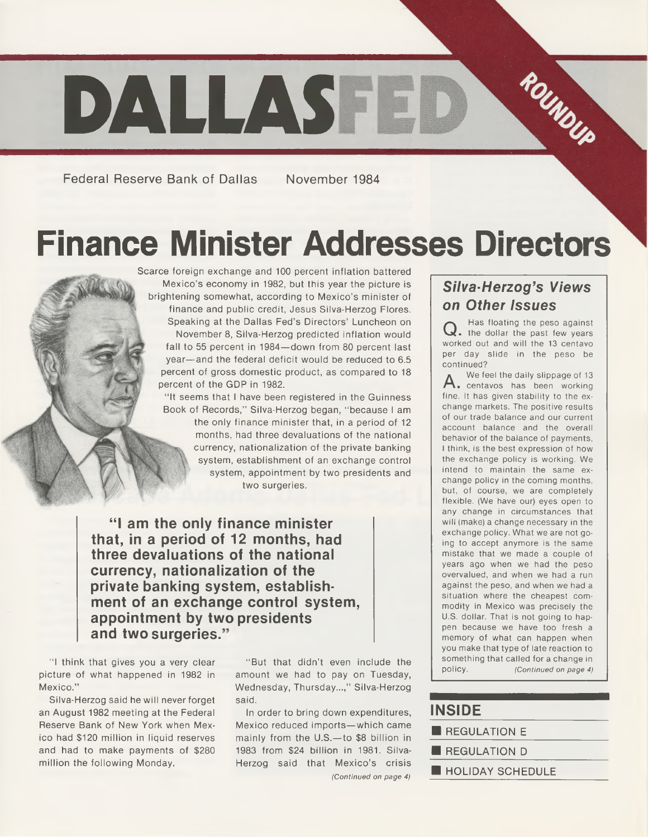

**Federal Reserve Bank of Dallas November 1984**

## **Finance Minister Addresses Directors**

Scarce foreign exchange and 100 percent inflation battered Mexico's economy in 1982, but this year the picture is brightening somewhat, according to Mexico's minister of finance and public credit, Jesus Silva-Herzog Flores. Speaking at the Dallas Fed's Directors' Luncheon on November 8, Silva-Herzog predicted inflation would fall to 55 percent in 1984—down from 80 percent last year—and the federal deficit would be reduced to 6.5 percent of gross domestic product, as compared to 18 percent of the GDP in 1982.

"It seems that I have been registered in the Guinness Book of Records," Silva-Herzog began, "because I am the only finance minister that, in a period of 12 months, had three devaluations of the national currency, nationalization of the private banking system, establishment of an exchange control system, appointment by two presidents and two surgeries.

"I am the only finance minister **that, in a period of 12 months, had three devaluations of the national currency, nationalization of the private banking system, establishment of an exchange control system, appointment by two presidents and two surgeries.**

"I think that gives you a very clear picture of what happened in 1982 in Mexico."

Silva-Herzog said he will never forget an August 1982 meeting at the Federal Reserve Bank of New York when Mexico had \$120 million in liquid reserves and had to make payments of \$280 million the following Monday.

" But that didn't even include the amount we had to pay on Tuesday, Wednesday, Thursday...," Silva-Herzog said.

In order to bring down expenditures, Mexico reduced imports—which came mainly from the U.S.—to \$8 billion in 1983 from \$24 billion in 1981. Silva-Herzog said that Mexico's crisis *(Continued on page 4)*

### *Silva-Herzog's Views on Other Issues*

Q. Has floating the peso against<br>Q. the dollar the past few years **Has floating the peso against worked out and will the 13 centavo per day slide in the peso be continued?**

**A . centavos has been working We feel the daily slippage of 13 fine. It has given stability to the exchange markets. The positive results of our trade balance and our current account balance and the overall behavior of the balance of payments, I think, is the best expression of how the exchange policy is working. We intend to maintain the same exchange policy in the coming months, but, of course, we are completely flexible. (We have our) eyes open to any change in circum stances that will (make) a change necessary in the exchange policy. W hat we are not going to accept anymore is the same mistake that we made a couple of years ago when we had the peso overvalued, and when we had a run against the peso, and when we had a situation where the cheapest commodity in Mexico was precisely the U.S. dollar. That is not going to happen because we have too fresh a memory of what can happen when you make that type of late reaction to something that called for a change in policy.** *(Continued on page 4)*

### **INSIDE\_\_\_\_\_\_\_\_\_\_**

- **E** REGULATION E
- **E** REGULATION D
- HOLIDAY SCHEDULE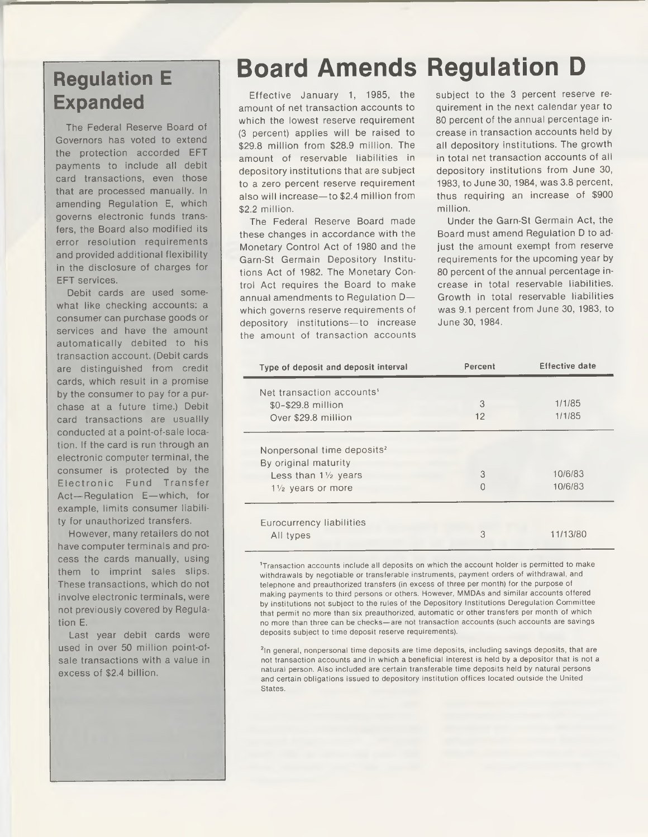# **Expanded**

The Federal Reserve Board of Governors has voted to extend the protection accorded EFT payments to include all debit card transactions, even those that are processed manually. In amending Regulation E, which governs electronic funds transfers, the Board also modified its error resolution requirements and provided additional flexibility in the disclosure of charges for EFT services.

Debit cards are used somewhat like checking accounts: a consumer can purchase goods or services and have the amount automatically debited to his transaction account. (Debit cards are distinguished from credit cards, which result in a promise by the consumer to pay for a purchase at a future time.) Debit card transactions are usuallly conducted at a point-of-sale location. If the card is run through an electronic computer terminal, the consumer is protected by the Electronic Fund Transfer Act—Regulation E—which, for example, limits consumer liability for unauthorized transfers.

However, many retailers do not have computer terminals and process the cards manually, using them to imprint sales slips. These transactions, which do not involve electronic terminals, were not previously covered by Regulation E.

Last year debit cards were used in over 50 million point-ofsale transactions with a value in excess of \$2.4 billion.

### **Regulation E Board Amends Regulation D**

Effective January 1, 1985, the amount of net transaction accounts to which the lowest reserve requirement (3 percent) applies will be raised to \$29.8 million from \$28.9 million. The amount of reservable liabilities in depository institutions that are subject to a zero percent reserve requirement also will increase—to \$2.4 million from \$2.2 million.

The Federal Reserve Board made these changes in accordance with the Monetary Control Act of 1980 and the Garn-St Germain Depository Institutions Act of 1982. The Monetary Control Act requires the Board to make annual amendments to Regulation D which governs reserve requirements of depository institutions—to increase the amount of transaction accounts subject to the 3 percent reserve requirement in the next calendar year to 80 percent of the annual percentage increase in transaction accounts held by all depository institutions. The growth in total net transaction accounts of all depository institutions from June 30, 1983, to June 30,1984, was 3.8 percent, thus requiring an increase of \$900 million.

Under the Garn-St Germain Act, the Board must amend Regulation D to adjust the amount exempt from reserve requirements for the upcoming year by 80 percent of the annual percentage increase in total reservable liabilities. Growth in total reservable liabilities was 9.1 percent from June 30, 1983, to June 30, 1984.

| Type of deposit and deposit interval   | Percent  | <b>Effective date</b> |
|----------------------------------------|----------|-----------------------|
| Net transaction accounts'              |          |                       |
| \$0-\$29.8 million                     | 3        | 1/1/85                |
| Over \$29.8 million                    | $12^{1}$ | 1/1/85                |
| Nonpersonal time deposits <sup>2</sup> |          |                       |
| By original maturity                   |          |                       |
| Less than $1\frac{1}{2}$ years         | 3        | 10/6/83               |
| $1\frac{1}{2}$ years or more           | 0        | 10/6/83               |
| Eurocurrency liabilities               |          |                       |
| All types                              | 3        | 11/13/80              |

'Transaction accounts include all deposits on which the account holder is permitted to make withdrawals by negotiable or transferable instruments, payment orders of withdrawal, and telephone and preauthorized transfers (in excess of three per month) for the purpose of making payments to third persons or others. However, MMDAs and similar accounts offered by institutions not subject to the rules of the Depository Institutions Deregulation Committee that permit no more than six preauthorized, automatic or other transfers per month of which no more than three can be checks—are not transaction accounts (such accounts are savings deposits subject to time deposit reserve requirements).

<sup>2</sup>In general, nonpersonal time deposits are time deposits, including savings deposits, that are not transaction accounts and in which a beneficial interest is held by a depositor that is not a natural person. Also included are certain transferable time deposits held by natural persons and certain obligations issued to depository institution offices located outside the United **States**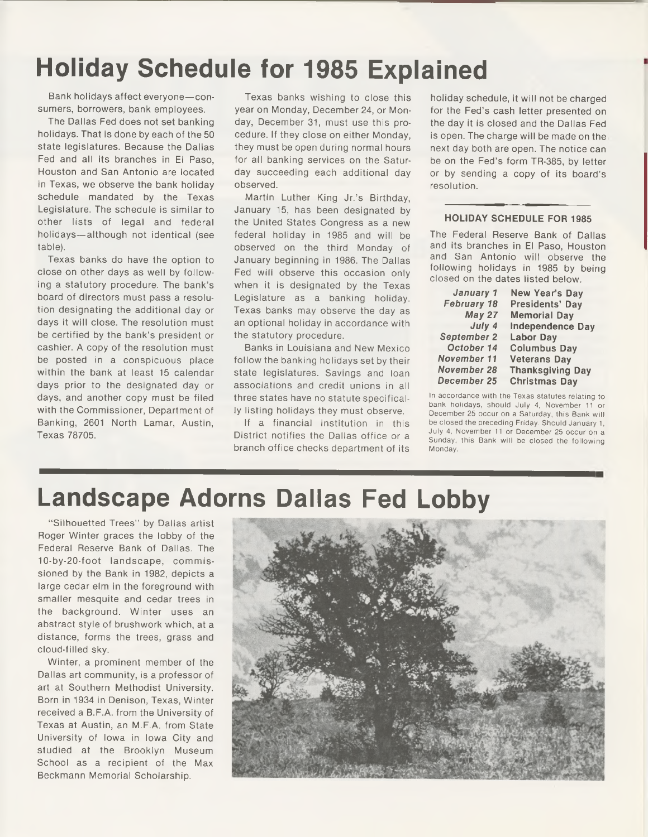### **Holiday Schedule for 1985 Explained**

Bank holidays affect everyone—consumers, borrowers, bank employees.

The Dallas Fed does not set banking holidays. That is done by each of the 50 state legislatures. Because the Dallas Fed and all its branches in El Paso, Houston and San Antonio are located in Texas, we observe the bank holiday schedule mandated by the Texas Legislature. The schedule is similar to other lists of legal and federal holidays—although not identical (see table).

Texas banks do have the option to close on other days as well by following a statutory procedure. The bank's board of directors must pass a resolution designating the additional day or days it will close. The resolution must be certified by the bank's president or cashier. A copy of the resolution must be posted in a conspicuous place within the bank at least 15 calendar days prior to the designated day or days, and another copy must be filed with the Commissioner, Department of Banking, 2601 North Lamar, Austin, Texas 78705.

Texas banks wishing to close this year on Monday, December 24, or Monday, December 31, must use this procedure. If they close on either Monday, they must be open during normal hours for all banking services on the Saturday succeeding each additional day observed.

Martin Luther King Jr.'s Birthday, January 15, has been designated by the United States Congress as a new federal holiday in 1985 and will be observed on the third Monday of January beginning in 1986. The Dallas Fed will observe this occasion only when it is designated by the Texas Legislature as a banking holiday. Texas banks may observe the day as an optional holiday in accordance with the statutory procedure.

Banks in Louisiana and New Mexico follow the banking holidays set by their state legislatures. Savings and loan associations and credit unions in all three states have no statute specifically listing holidays they must observe.

If a financial institution in this District notifies the Dallas office or a branch office checks department of its holiday schedule, it will not be charged for the Fed's cash letter presented on the day it is closed and the Dallas Fed is open. The charge will be made on the next day both are open. The notice can be on the Fed's form TR-385, by letter or by sending a copy of its board's resolution.

#### **HOLIDAY SCHEDULE FOR 1985**

The Federal Reserve Bank of Dallas and its branches in El Paso, Houston and San Antonio will observe the following holidays in 1985 by being closed on the dates listed below.

| January 1          | New Year's Day          |
|--------------------|-------------------------|
| <b>February 18</b> | <b>Presidents' Day</b>  |
| <b>May 27</b>      | <b>Memorial Day</b>     |
| July 4             | <b>Independence Day</b> |
| September 2        | <b>Labor Day</b>        |
| October 14         | <b>Columbus Day</b>     |
| November 11        | <b>Veterans Day</b>     |
| November 28        | <b>Thanksgiving Day</b> |
| December 25        | <b>Christmas Day</b>    |

In accordance with the Texas statutes relating to bank holidays, should July 4, November 11 or December 25 occur on a Saturday, this Bank will be closed the preceding Friday. Should January 1, July 4, November 11 or December 25 occur on a Sunday, this Bank will be closed the following Monday.

### **Landscape Adorns Dallas Fed Lobby**

"Silhouetted Trees'' by Dallas artist Roger Winter graces the lobby of the Federal Reserve Bank of Dallas. The 10-by-20-foot landscape, commissioned by the Bank in 1982, depicts a large cedar elm in the foreground with smaller mesquite and cedar trees in the background. Winter uses an abstract style of brushwork which, at a distance, forms the trees, grass and cloud-filled sky.

Winter, a prominent member of the Dallas art community, is a professor of art at Southern Methodist University. Born in 1934 in Denison, Texas, Winter received a B.F.A. from the University of Texas at Austin, an M.F.A. from State University of Iowa in Iowa City and studied at the Brooklyn Museum School as a recipient of the Max Beckmann Memorial Scholarship.